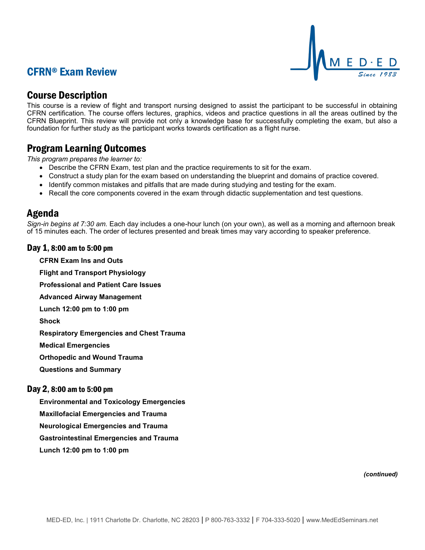# CFRN® Exam Review



## Course Description

This course is a review of flight and transport nursing designed to assist the participant to be successful in obtaining CFRN certification. The course offers lectures, graphics, videos and practice questions in all the areas outlined by the CFRN Blueprint. This review will provide not only a knowledge base for successfully completing the exam, but also a foundation for further study as the participant works towards certification as a flight nurse.

### Program Learning Outcomes

*This program prepares the learner to:*

- Describe the CFRN Exam, test plan and the practice requirements to sit for the exam.
- Construct a study plan for the exam based on understanding the blueprint and domains of practice covered.
- Identify common mistakes and pitfalls that are made during studying and testing for the exam.
- Recall the core components covered in the exam through didactic supplementation and test questions.

### Agenda

*Sign-in begins at 7:30 am.* Each day includes a one-hour lunch (on your own), as well as a morning and afternoon break of 15 minutes each. The order of lectures presented and break times may vary according to speaker preference.

### Day 1, 8:00 am to 5:00 pm

**CFRN Exam Ins and Outs Flight and Transport Physiology Professional and Patient Care Issues Advanced Airway Management Lunch 12:00 pm to 1:00 pm Shock**

**Respiratory Emergencies and Chest Trauma**

**Medical Emergencies**

**Orthopedic and Wound Trauma**

**Questions and Summary**

### Day 2, 8:00 am to 5:00 pm

**Environmental and Toxicology Emergencies**

**Maxillofacial Emergencies and Trauma**

**Neurological Emergencies and Trauma**

**Gastrointestinal Emergencies and Trauma**

**Lunch 12:00 pm to 1:00 pm**

*(continued)*